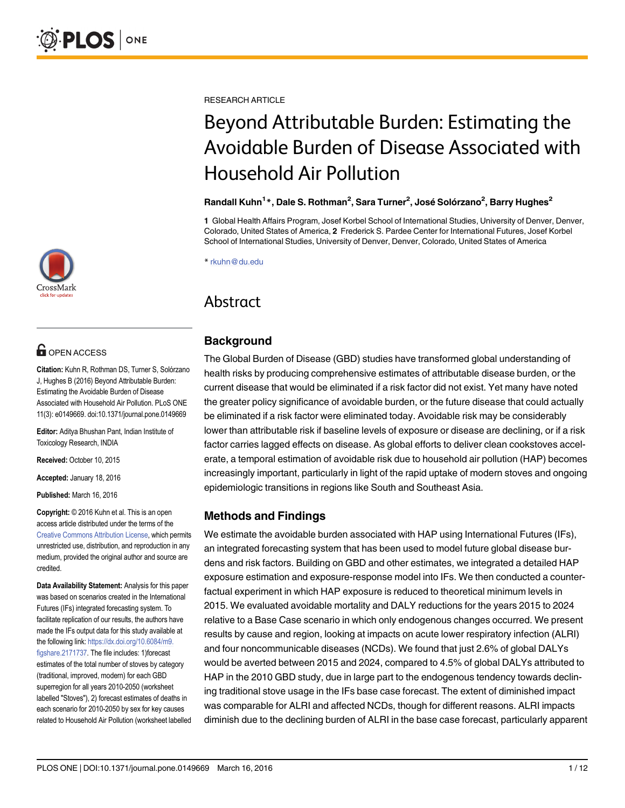

# **G** OPEN ACCESS

Citation: Kuhn R, Rothman DS, Turner S, Solórzano J, Hughes B (2016) Beyond Attributable Burden: Estimating the Avoidable Burden of Disease Associated with Household Air Pollution. PLoS ONE 11(3): e0149669. doi:10.1371/journal.pone.0149669

Editor: Aditya Bhushan Pant, Indian Institute of Toxicology Research, INDIA

Received: October 10, 2015

Accepted: January 18, 2016

Published: March 16, 2016

Copyright: © 2016 Kuhn et al. This is an open access article distributed under the terms of the [Creative Commons Attribution License,](http://creativecommons.org/licenses/by/4.0/) which permits unrestricted use, distribution, and reproduction in any medium, provided the original author and source are credited.

Data Availability Statement: Analysis for this paper was based on scenarios created in the International Futures (IFs) integrated forecasting system. To facilitate replication of our results, the authors have made the IFs output data for this study available at the following link: [https://dx.doi.org/10.6084/m9.](https://dx.doi.org/10.6084/m9.figshare.2171737) [figshare.2171737](https://dx.doi.org/10.6084/m9.figshare.2171737). The file includes: 1)forecast estimates of the total number of stoves by category (traditional, improved, modern) for each GBD superregion for all years 2010-2050 (worksheet labelled "Stoves"), 2) forecast estimates of deaths in each scenario for 2010-2050 by sex for key causes related to Household Air Pollution (worksheet labelled RESEARCH ARTICLE

# Beyond Attributable Burden: Estimating the Avoidable Burden of Disease Associated with Household Air Pollution

#### Randall Kuhn<sup>1</sup>\*, Dale S. Rothman<sup>2</sup>, Sara Turner<sup>2</sup>, José Solórzano<sup>2</sup>, Barry Hughes<sup>2</sup>

1 Global Health Affairs Program, Josef Korbel School of International Studies, University of Denver, Denver, Colorado, United States of America, 2 Frederick S. Pardee Center for International Futures, Josef Korbel School of International Studies, University of Denver, Denver, Colorado, United States of America

\* rkuhn@du.edu

# Abstract

# **Background**

The Global Burden of Disease (GBD) studies have transformed global understanding of health risks by producing comprehensive estimates of attributable disease burden, or the current disease that would be eliminated if a risk factor did not exist. Yet many have noted the greater policy significance of avoidable burden, or the future disease that could actually be eliminated if a risk factor were eliminated today. Avoidable risk may be considerably lower than attributable risk if baseline levels of exposure or disease are declining, or if a risk factor carries lagged effects on disease. As global efforts to deliver clean cookstoves accelerate, a temporal estimation of avoidable risk due to household air pollution (HAP) becomes increasingly important, particularly in light of the rapid uptake of modern stoves and ongoing epidemiologic transitions in regions like South and Southeast Asia.

# Methods and Findings

We estimate the avoidable burden associated with HAP using International Futures (IFs), an integrated forecasting system that has been used to model future global disease burdens and risk factors. Building on GBD and other estimates, we integrated a detailed HAP exposure estimation and exposure-response model into IFs. We then conducted a counterfactual experiment in which HAP exposure is reduced to theoretical minimum levels in 2015. We evaluated avoidable mortality and DALY reductions for the years 2015 to 2024 relative to a Base Case scenario in which only endogenous changes occurred. We present results by cause and region, looking at impacts on acute lower respiratory infection (ALRI) and four noncommunicable diseases (NCDs). We found that just 2.6% of global DALYs would be averted between 2015 and 2024, compared to 4.5% of global DALYs attributed to HAP in the 2010 GBD study, due in large part to the endogenous tendency towards declining traditional stove usage in the IFs base case forecast. The extent of diminished impact was comparable for ALRI and affected NCDs, though for different reasons. ALRI impacts diminish due to the declining burden of ALRI in the base case forecast, particularly apparent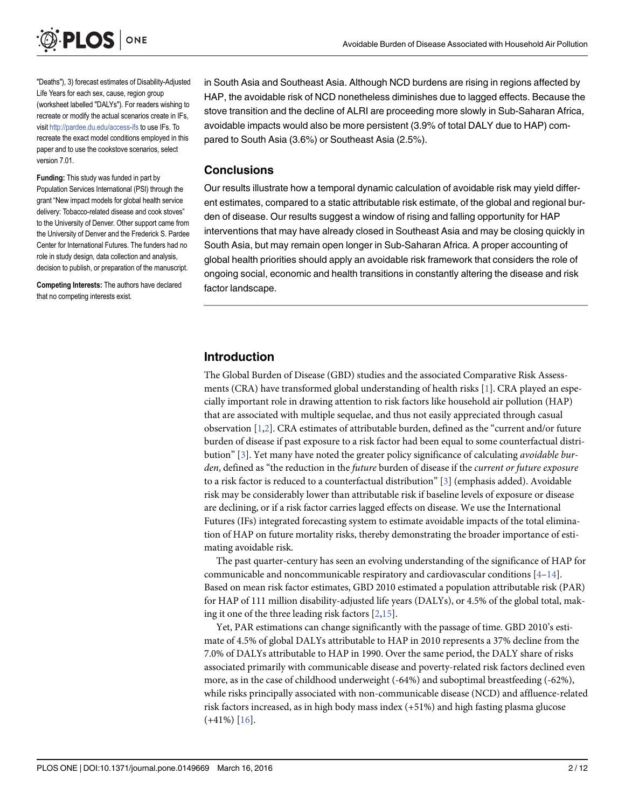<span id="page-1-0"></span>

"Deaths"), 3) forecast estimates of Disability-Adjusted Life Years for each sex, cause, region group (worksheet labelled "DALYs"). For readers wishing to recreate or modify the actual scenarios create in IFs, visit <http://pardee.du.edu/access-ifs> to use IFs. To recreate the exact model conditions employed in this paper and to use the cookstove scenarios, select version 7.01.

Funding: This study was funded in part by Population Services International (PSI) through the grant "New impact models for global health service delivery: Tobacco-related disease and cook stoves" to the University of Denver. Other support came from the University of Denver and the Frederick S. Pardee Center for International Futures. The funders had no role in study design, data collection and analysis, decision to publish, or preparation of the manuscript.

Competing Interests: The authors have declared that no competing interests exist.

in South Asia and Southeast Asia. Although NCD burdens are rising in regions affected by HAP, the avoidable risk of NCD nonetheless diminishes due to lagged effects. Because the stove transition and the decline of ALRI are proceeding more slowly in Sub-Saharan Africa, avoidable impacts would also be more persistent (3.9% of total DALY due to HAP) compared to South Asia (3.6%) or Southeast Asia (2.5%).

#### **Conclusions**

Our results illustrate how a temporal dynamic calculation of avoidable risk may yield different estimates, compared to a static attributable risk estimate, of the global and regional burden of disease. Our results suggest a window of rising and falling opportunity for HAP interventions that may have already closed in Southeast Asia and may be closing quickly in South Asia, but may remain open longer in Sub-Saharan Africa. A proper accounting of global health priorities should apply an avoidable risk framework that considers the role of ongoing social, economic and health transitions in constantly altering the disease and risk factor landscape.

#### Introduction

The Global Burden of Disease (GBD) studies and the associated Comparative Risk Assessments (CRA) have transformed global understanding of health risks [[1\]](#page-10-0). CRA played an especially important role in drawing attention to risk factors like household air pollution (HAP) that are associated with multiple sequelae, and thus not easily appreciated through casual observation [\[1,2\]](#page-10-0). CRA estimates of attributable burden, defined as the "current and/or future burden of disease if past exposure to a risk factor had been equal to some counterfactual distribution" [[3\]](#page-10-0). Yet many have noted the greater policy significance of calculating avoidable burden, defined as "the reduction in the future burden of disease if the current or future exposure to a risk factor is reduced to a counterfactual distribution"  $[3]$  $[3]$  (emphasis added). Avoidable risk may be considerably lower than attributable risk if baseline levels of exposure or disease are declining, or if a risk factor carries lagged effects on disease. We use the International Futures (IFs) integrated forecasting system to estimate avoidable impacts of the total elimination of HAP on future mortality risks, thereby demonstrating the broader importance of estimating avoidable risk.

The past quarter-century has seen an evolving understanding of the significance of HAP for communicable and noncommunicable respiratory and cardiovascular conditions  $[4-14]$  $[4-14]$  $[4-14]$  $[4-14]$  $[4-14]$ . Based on mean risk factor estimates, GBD 2010 estimated a population attributable risk (PAR) for HAP of 111 million disability-adjusted life years (DALYs), or 4.5% of the global total, making it one of the three leading risk factors [\[2](#page-10-0)[,15\]](#page-11-0).

Yet, PAR estimations can change significantly with the passage of time. GBD 2010's estimate of 4.5% of global DALYs attributable to HAP in 2010 represents a 37% decline from the 7.0% of DALYs attributable to HAP in 1990. Over the same period, the DALY share of risks associated primarily with communicable disease and poverty-related risk factors declined even more, as in the case of childhood underweight (-64%) and suboptimal breastfeeding (-62%), while risks principally associated with non-communicable disease (NCD) and affluence-related risk factors increased, as in high body mass index (+51%) and high fasting plasma glucose  $(+41\%)$  [\[16\]](#page-11-0).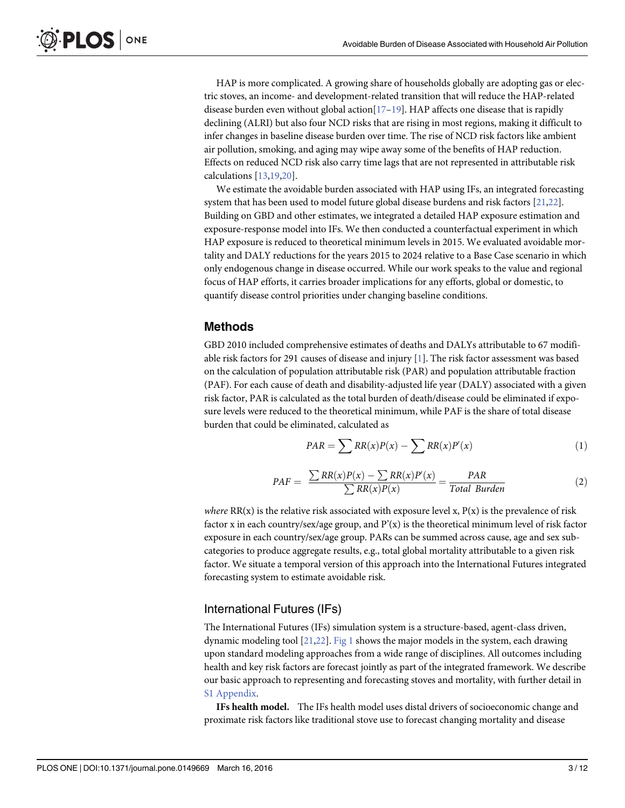<span id="page-2-0"></span>HAP is more complicated. A growing share of households globally are adopting gas or electric stoves, an income- and development-related transition that will reduce the HAP-related disease burden even without global action $[17-19]$  $[17-19]$  $[17-19]$  $[17-19]$  $[17-19]$ . HAP affects one disease that is rapidly declining (ALRI) but also four NCD risks that are rising in most regions, making it difficult to infer changes in baseline disease burden over time. The rise of NCD risk factors like ambient air pollution, smoking, and aging may wipe away some of the benefits of HAP reduction. Effects on reduced NCD risk also carry time lags that are not represented in attributable risk calculations [[13](#page-10-0)[,19,20\]](#page-11-0).

We estimate the avoidable burden associated with HAP using IFs, an integrated forecasting system that has been used to model future global disease burdens and risk factors [[21,22\]](#page-11-0). Building on GBD and other estimates, we integrated a detailed HAP exposure estimation and exposure-response model into IFs. We then conducted a counterfactual experiment in which HAP exposure is reduced to theoretical minimum levels in 2015. We evaluated avoidable mortality and DALY reductions for the years 2015 to 2024 relative to a Base Case scenario in which only endogenous change in disease occurred. While our work speaks to the value and regional focus of HAP efforts, it carries broader implications for any efforts, global or domestic, to quantify disease control priorities under changing baseline conditions.

# Methods

GBD 2010 included comprehensive estimates of deaths and DALYs attributable to 67 modifiable risk factors for 291 causes of disease and injury [\[1\]](#page-10-0). The risk factor assessment was based on the calculation of population attributable risk (PAR) and population attributable fraction (PAF). For each cause of death and disability-adjusted life year (DALY) associated with a given risk factor, PAR is calculated as the total burden of death/disease could be eliminated if exposure levels were reduced to the theoretical minimum, while PAF is the share of total disease burden that could be eliminated, calculated as

$$
PAR = \sum RR(x)P(x) - \sum RR(x)P'(x) \tag{1}
$$

$$
PAF = \frac{\sum RR(x)P(x) - \sum RR(x)P'(x)}{\sum RR(x)P(x)} = \frac{PAR}{Total Burden}
$$
 (2)

where  $RR(x)$  is the relative risk associated with exposure level x,  $P(x)$  is the prevalence of risk factor x in each country/sex/age group, and  $P'(x)$  is the theoretical minimum level of risk factor exposure in each country/sex/age group. PARs can be summed across cause, age and sex subcategories to produce aggregate results, e.g., total global mortality attributable to a given risk factor. We situate a temporal version of this approach into the International Futures integrated forecasting system to estimate avoidable risk.

# International Futures (IFs)

The International Futures (IFs) simulation system is a structure-based, agent-class driven, dynamic modeling tool  $[21,22]$  $[21,22]$  $[21,22]$ . [Fig 1](#page-3-0) shows the major models in the system, each drawing upon standard modeling approaches from a wide range of disciplines. All outcomes including health and key risk factors are forecast jointly as part of the integrated framework. We describe our basic approach to representing and forecasting stoves and mortality, with further detail in [S1 Appendix](#page-9-0).

IFs health model. The IFs health model uses distal drivers of socioeconomic change and proximate risk factors like traditional stove use to forecast changing mortality and disease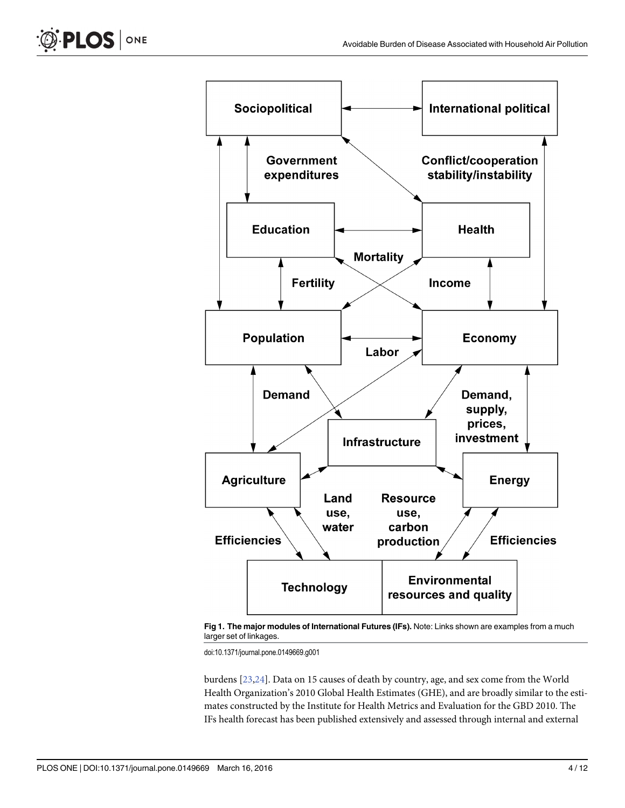<span id="page-3-0"></span>

[Fig 1. T](#page-2-0)he major modules of International Futures (IFs). Note: Links shown are examples from a much larger set of linkages.

doi:10.1371/journal.pone.0149669.g001

burdens [[23,24](#page-11-0)]. Data on 15 causes of death by country, age, and sex come from the World Health Organization's 2010 Global Health Estimates (GHE), and are broadly similar to the estimates constructed by the Institute for Health Metrics and Evaluation for the GBD 2010. The IFs health forecast has been published extensively and assessed through internal and external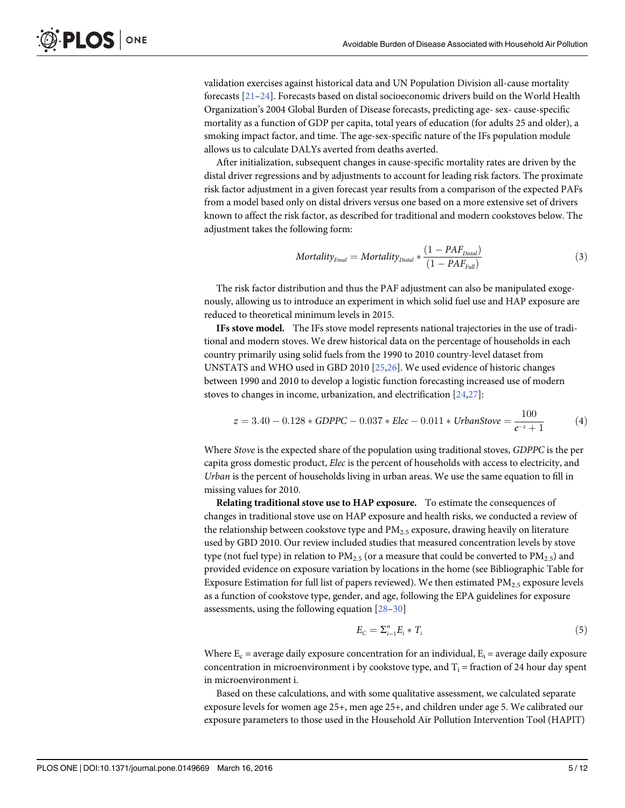validation exercises against historical data and UN Population Division all-cause mortality forecasts [\[21](#page-11-0)–[24\]](#page-11-0). Forecasts based on distal socioeconomic drivers build on the World Health Organization's 2004 Global Burden of Disease forecasts, predicting age- sex- cause-specific mortality as a function of GDP per capita, total years of education (for adults 25 and older), a smoking impact factor, and time. The age-sex-specific nature of the IFs population module allows us to calculate DALYs averted from deaths averted.

After initialization, subsequent changes in cause-specific mortality rates are driven by the distal driver regressions and by adjustments to account for leading risk factors. The proximate risk factor adjustment in a given forecast year results from a comparison of the expected PAFs from a model based only on distal drivers versus one based on a more extensive set of drivers known to affect the risk factor, as described for traditional and modern cookstoves below. The adjustment takes the following form:

$$
Mortality_{Final} = Mortality_{Distal} * \frac{(1 - PAF_{Distal})}{(1 - PAF_{full})}
$$
\n(3)

The risk factor distribution and thus the PAF adjustment can also be manipulated exogenously, allowing us to introduce an experiment in which solid fuel use and HAP exposure are reduced to theoretical minimum levels in 2015.

IFs stove model. The IFs stove model represents national trajectories in the use of traditional and modern stoves. We drew historical data on the percentage of households in each country primarily using solid fuels from the 1990 to 2010 country-level dataset from UNSTATS and WHO used in GBD 2010 [[25,26\]](#page-11-0). We used evidence of historic changes between 1990 and 2010 to develop a logistic function forecasting increased use of modern stoves to changes in income, urbanization, and electrification [\[24,27](#page-11-0)]:

$$
z = 3.40 - 0.128 * GDPPC - 0.037 * Elec - 0.011 * UrbanStore = \frac{100}{e^{-z} + 1}
$$
 (4)

Where Stove is the expected share of the population using traditional stoves, GDPPC is the per capita gross domestic product, Elec is the percent of households with access to electricity, and Urban is the percent of households living in urban areas. We use the same equation to fill in missing values for 2010.

Relating traditional stove use to HAP exposure. To estimate the consequences of changes in traditional stove use on HAP exposure and health risks, we conducted a review of the relationship between cookstove type and  $PM_{2.5}$  exposure, drawing heavily on literature used by GBD 2010. Our review included studies that measured concentration levels by stove type (not fuel type) in relation to  $PM_{2.5}$  (or a measure that could be converted to  $PM_{2.5}$ ) and provided evidence on exposure variation by locations in the home (see Bibliographic Table for Exposure Estimation for full list of papers reviewed). We then estimated  $PM_{2.5}$  exposure levels as a function of cookstove type, gender, and age, following the EPA guidelines for exposure assessments, using the following equation  $[28-30]$  $[28-30]$  $[28-30]$ 

$$
E_C = \sum_{i=1}^n E_i * T_i \tag{5}
$$

Where  $E_c$  = average daily exposure concentration for an individual,  $E_i$  = average daily exposure concentration in microenvironment i by cookstove type, and  $T_i$  = fraction of 24 hour day spent in microenvironment i.

Based on these calculations, and with some qualitative assessment, we calculated separate exposure levels for women age 25+, men age 25+, and children under age 5. We calibrated our exposure parameters to those used in the Household Air Pollution Intervention Tool (HAPIT)

<span id="page-4-0"></span>**LOS** 

ONE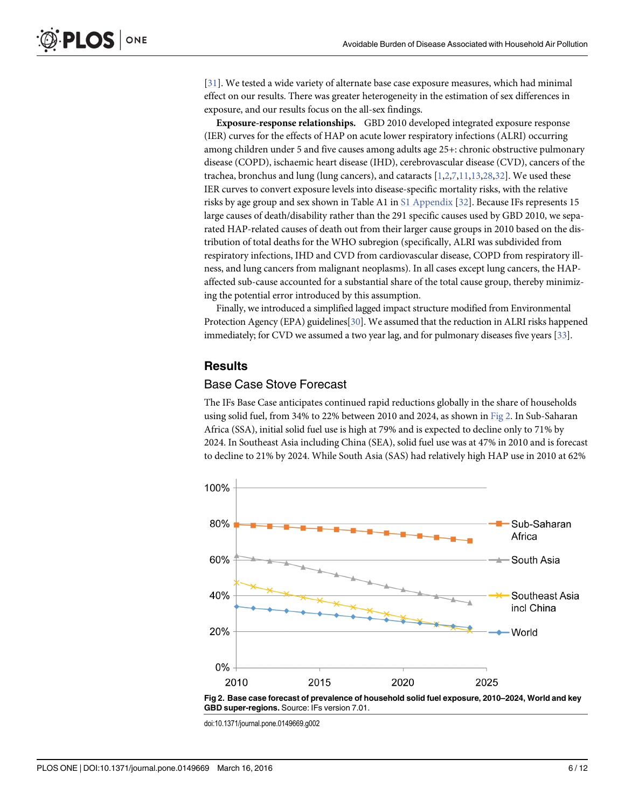<span id="page-5-0"></span>[\[31](#page-11-0)]. We tested a wide variety of alternate base case exposure measures, which had minimal effect on our results. There was greater heterogeneity in the estimation of sex differences in exposure, and our results focus on the all-sex findings.

Exposure-response relationships. GBD 2010 developed integrated exposure response (IER) curves for the effects of HAP on acute lower respiratory infections (ALRI) occurring among children under 5 and five causes among adults age 25+: chronic obstructive pulmonary disease (COPD), ischaemic heart disease (IHD), cerebrovascular disease (CVD), cancers of the trachea, bronchus and lung (lung cancers), and cataracts [[1,2,7](#page-10-0),[11,13](#page-10-0)[,28,32\]](#page-11-0). We used these IER curves to convert exposure levels into disease-specific mortality risks, with the relative risks by age group and sex shown in Table A1 in [S1 Appendix](#page-9-0) [\[32](#page-11-0)]. Because IFs represents 15 large causes of death/disability rather than the 291 specific causes used by GBD 2010, we separated HAP-related causes of death out from their larger cause groups in 2010 based on the distribution of total deaths for the WHO subregion (specifically, ALRI was subdivided from respiratory infections, IHD and CVD from cardiovascular disease, COPD from respiratory illness, and lung cancers from malignant neoplasms). In all cases except lung cancers, the HAPaffected sub-cause accounted for a substantial share of the total cause group, thereby minimizing the potential error introduced by this assumption.

Finally, we introduced a simplified lagged impact structure modified from Environmental Protection Agency (EPA) guidelines[[30](#page-11-0)]. We assumed that the reduction in ALRI risks happened immediately; for CVD we assumed a two year lag, and for pulmonary diseases five years [\[33](#page-11-0)].

# **Results**

#### Base Case Stove Forecast

The IFs Base Case anticipates continued rapid reductions globally in the share of households using solid fuel, from 34% to 22% between 2010 and 2024, as shown in Fig 2. In Sub-Saharan Africa (SSA), initial solid fuel use is high at 79% and is expected to decline only to 71% by 2024. In Southeast Asia including China (SEA), solid fuel use was at 47% in 2010 and is forecast to decline to 21% by 2024. While South Asia (SAS) had relatively high HAP use in 2010 at 62%



doi:10.1371/journal.pone.0149669.g002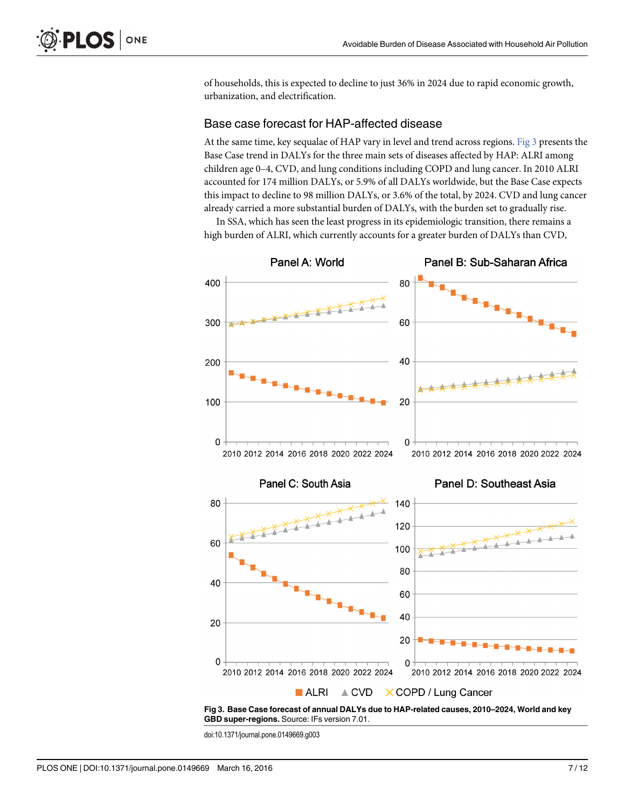of households, this is expected to decline to just 36% in 2024 due to rapid economic growth, urbanization, and electrification.

#### Base case forecast for HAP-affected disease

At the same time, key sequalae of HAP vary in level and trend across regions. Fig 3 presents the Base Case trend in DALYs for the three main sets of diseases affected by HAP: ALRI among children age 0–4, CVD, and lung conditions including COPD and lung cancer. In 2010 ALRI accounted for 174 million DALYs, or 5.9% of all DALYs worldwide, but the Base Case expects this impact to decline to 98 million DALYs, or 3.6% of the total, by 2024. CVD and lung cancer already carried a more substantial burden of DALYs, with the burden set to gradually rise.

In SSA, which has seen the least progress in its epidemiologic transition, there remains a high burden of ALRI, which currently accounts for a greater burden of DALYs than CVD,



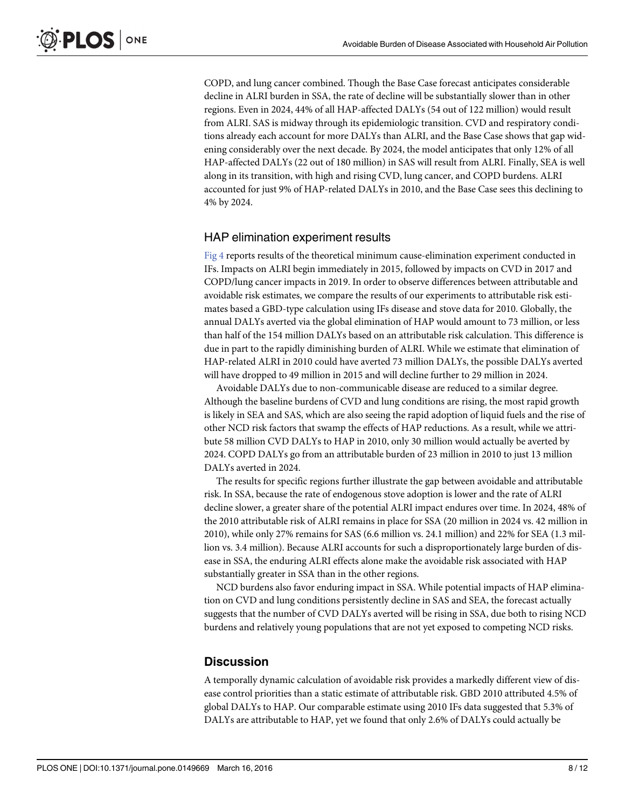<span id="page-7-0"></span>COPD, and lung cancer combined. Though the Base Case forecast anticipates considerable decline in ALRI burden in SSA, the rate of decline will be substantially slower than in other regions. Even in 2024, 44% of all HAP-affected DALYs (54 out of 122 million) would result from ALRI. SAS is midway through its epidemiologic transition. CVD and respiratory conditions already each account for more DALYs than ALRI, and the Base Case shows that gap widening considerably over the next decade. By 2024, the model anticipates that only 12% of all HAP-affected DALYs (22 out of 180 million) in SAS will result from ALRI. Finally, SEA is well along in its transition, with high and rising CVD, lung cancer, and COPD burdens. ALRI accounted for just 9% of HAP-related DALYs in 2010, and the Base Case sees this declining to 4% by 2024.

#### HAP elimination experiment results

[Fig 4](#page-8-0) reports results of the theoretical minimum cause-elimination experiment conducted in IFs. Impacts on ALRI begin immediately in 2015, followed by impacts on CVD in 2017 and COPD/lung cancer impacts in 2019. In order to observe differences between attributable and avoidable risk estimates, we compare the results of our experiments to attributable risk estimates based a GBD-type calculation using IFs disease and stove data for 2010. Globally, the annual DALYs averted via the global elimination of HAP would amount to 73 million, or less than half of the 154 million DALYs based on an attributable risk calculation. This difference is due in part to the rapidly diminishing burden of ALRI. While we estimate that elimination of HAP-related ALRI in 2010 could have averted 73 million DALYs, the possible DALYs averted will have dropped to 49 million in 2015 and will decline further to 29 million in 2024.

Avoidable DALYs due to non-communicable disease are reduced to a similar degree. Although the baseline burdens of CVD and lung conditions are rising, the most rapid growth is likely in SEA and SAS, which are also seeing the rapid adoption of liquid fuels and the rise of other NCD risk factors that swamp the effects of HAP reductions. As a result, while we attribute 58 million CVD DALYs to HAP in 2010, only 30 million would actually be averted by 2024. COPD DALYs go from an attributable burden of 23 million in 2010 to just 13 million DALYs averted in 2024.

The results for specific regions further illustrate the gap between avoidable and attributable risk. In SSA, because the rate of endogenous stove adoption is lower and the rate of ALRI decline slower, a greater share of the potential ALRI impact endures over time. In 2024, 48% of the 2010 attributable risk of ALRI remains in place for SSA (20 million in 2024 vs. 42 million in 2010), while only 27% remains for SAS (6.6 million vs. 24.1 million) and 22% for SEA (1.3 million vs. 3.4 million). Because ALRI accounts for such a disproportionately large burden of disease in SSA, the enduring ALRI effects alone make the avoidable risk associated with HAP substantially greater in SSA than in the other regions.

NCD burdens also favor enduring impact in SSA. While potential impacts of HAP elimination on CVD and lung conditions persistently decline in SAS and SEA, the forecast actually suggests that the number of CVD DALYs averted will be rising in SSA, due both to rising NCD burdens and relatively young populations that are not yet exposed to competing NCD risks.

#### **Discussion**

A temporally dynamic calculation of avoidable risk provides a markedly different view of disease control priorities than a static estimate of attributable risk. GBD 2010 attributed 4.5% of global DALYs to HAP. Our comparable estimate using 2010 IFs data suggested that 5.3% of DALYs are attributable to HAP, yet we found that only 2.6% of DALYs could actually be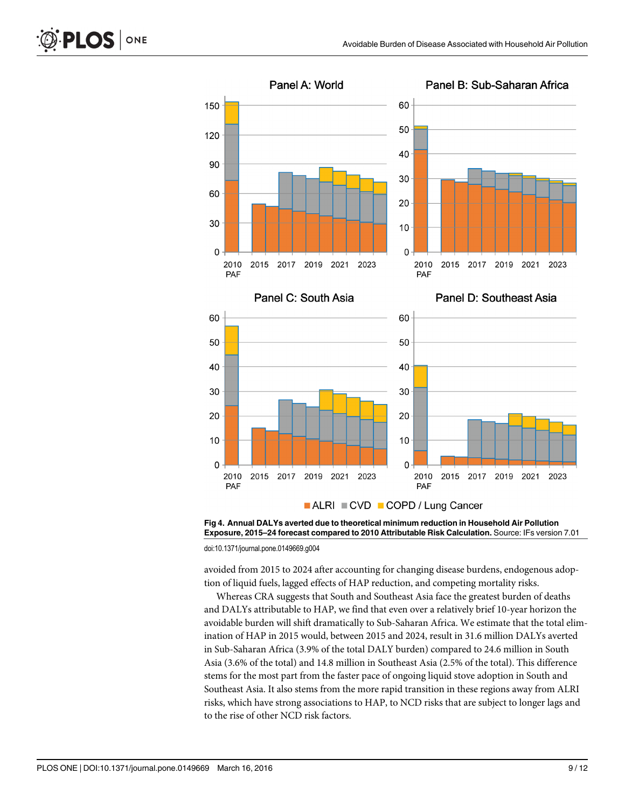

ALRI CVD COPD / Lung Cancer

[Fig 4. A](#page-7-0)nnual DALYs averted due to theoretical minimum reduction in Household Air Pollution Exposure, 2015–24 forecast compared to 2010 Attributable Risk Calculation. Source: IFs version 7.01

doi:10.1371/journal.pone.0149669.g004

avoided from 2015 to 2024 after accounting for changing disease burdens, endogenous adoption of liquid fuels, lagged effects of HAP reduction, and competing mortality risks.

Whereas CRA suggests that South and Southeast Asia face the greatest burden of deaths and DALYs attributable to HAP, we find that even over a relatively brief 10-year horizon the avoidable burden will shift dramatically to Sub-Saharan Africa. We estimate that the total elimination of HAP in 2015 would, between 2015 and 2024, result in 31.6 million DALYs averted in Sub-Saharan Africa (3.9% of the total DALY burden) compared to 24.6 million in South Asia (3.6% of the total) and 14.8 million in Southeast Asia (2.5% of the total). This difference stems for the most part from the faster pace of ongoing liquid stove adoption in South and Southeast Asia. It also stems from the more rapid transition in these regions away from ALRI risks, which have strong associations to HAP, to NCD risks that are subject to longer lags and to the rise of other NCD risk factors.

ONE

<span id="page-8-0"></span>**PLOS** I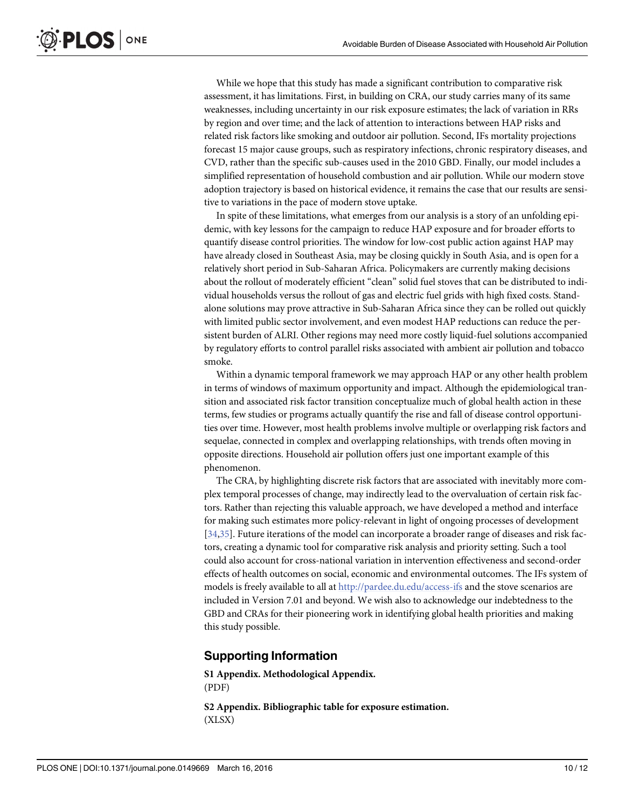<span id="page-9-0"></span>While we hope that this study has made a significant contribution to comparative risk assessment, it has limitations. First, in building on CRA, our study carries many of its same weaknesses, including uncertainty in our risk exposure estimates; the lack of variation in RRs by region and over time; and the lack of attention to interactions between HAP risks and related risk factors like smoking and outdoor air pollution. Second, IFs mortality projections forecast 15 major cause groups, such as respiratory infections, chronic respiratory diseases, and CVD, rather than the specific sub-causes used in the 2010 GBD. Finally, our model includes a simplified representation of household combustion and air pollution. While our modern stove adoption trajectory is based on historical evidence, it remains the case that our results are sensitive to variations in the pace of modern stove uptake.

In spite of these limitations, what emerges from our analysis is a story of an unfolding epidemic, with key lessons for the campaign to reduce HAP exposure and for broader efforts to quantify disease control priorities. The window for low-cost public action against HAP may have already closed in Southeast Asia, may be closing quickly in South Asia, and is open for a relatively short period in Sub-Saharan Africa. Policymakers are currently making decisions about the rollout of moderately efficient "clean" solid fuel stoves that can be distributed to individual households versus the rollout of gas and electric fuel grids with high fixed costs. Standalone solutions may prove attractive in Sub-Saharan Africa since they can be rolled out quickly with limited public sector involvement, and even modest HAP reductions can reduce the persistent burden of ALRI. Other regions may need more costly liquid-fuel solutions accompanied by regulatory efforts to control parallel risks associated with ambient air pollution and tobacco smoke.

Within a dynamic temporal framework we may approach HAP or any other health problem in terms of windows of maximum opportunity and impact. Although the epidemiological transition and associated risk factor transition conceptualize much of global health action in these terms, few studies or programs actually quantify the rise and fall of disease control opportunities over time. However, most health problems involve multiple or overlapping risk factors and sequelae, connected in complex and overlapping relationships, with trends often moving in opposite directions. Household air pollution offers just one important example of this phenomenon.

The CRA, by highlighting discrete risk factors that are associated with inevitably more complex temporal processes of change, may indirectly lead to the overvaluation of certain risk factors. Rather than rejecting this valuable approach, we have developed a method and interface for making such estimates more policy-relevant in light of ongoing processes of development [\[34,35\]](#page-11-0). Future iterations of the model can incorporate a broader range of diseases and risk factors, creating a dynamic tool for comparative risk analysis and priority setting. Such a tool could also account for cross-national variation in intervention effectiveness and second-order effects of health outcomes on social, economic and environmental outcomes. The IFs system of models is freely available to all at <http://pardee.du.edu/access-ifs> and the stove scenarios are included in Version 7.01 and beyond. We wish also to acknowledge our indebtedness to the GBD and CRAs for their pioneering work in identifying global health priorities and making this study possible.

# Supporting Information

[S1 Appendix.](http://www.plosone.org/article/fetchSingleRepresentation.action?uri=info:doi/10.1371/journal.pone.0149669.s001) Methodological Appendix. (PDF)

[S2 Appendix.](http://www.plosone.org/article/fetchSingleRepresentation.action?uri=info:doi/10.1371/journal.pone.0149669.s002) Bibliographic table for exposure estimation. (XLSX)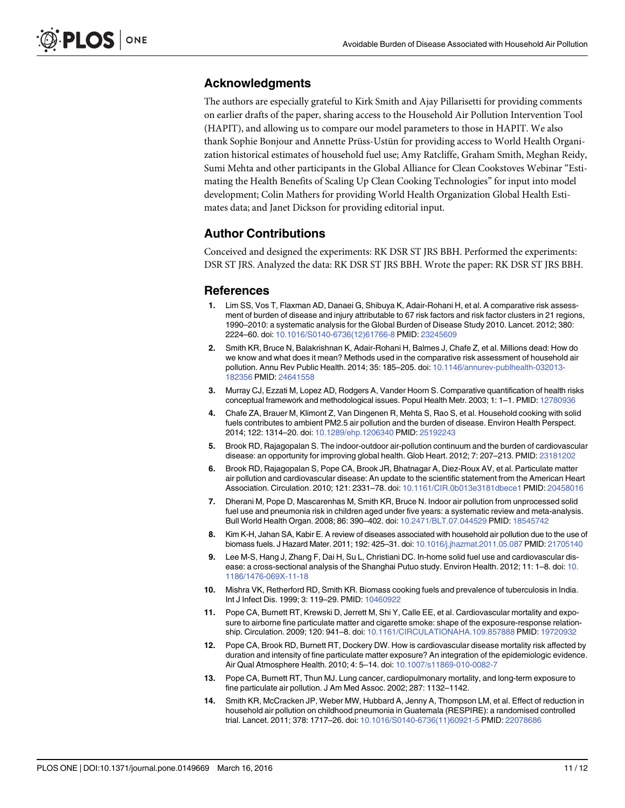# <span id="page-10-0"></span>Acknowledgments

The authors are especially grateful to Kirk Smith and Ajay Pillarisetti for providing comments on earlier drafts of the paper, sharing access to the Household Air Pollution Intervention Tool (HAPIT), and allowing us to compare our model parameters to those in HAPIT. We also thank Sophie Bonjour and Annette Prüss-Ustün for providing access to World Health Organization historical estimates of household fuel use; Amy Ratcliffe, Graham Smith, Meghan Reidy, Sumi Mehta and other participants in the Global Alliance for Clean Cookstoves Webinar "Estimating the Health Benefits of Scaling Up Clean Cooking Technologies" for input into model development; Colin Mathers for providing World Health Organization Global Health Estimates data; and Janet Dickson for providing editorial input.

# Author Contributions

Conceived and designed the experiments: RK DSR ST JRS BBH. Performed the experiments: DSR ST JRS. Analyzed the data: RK DSR ST JRS BBH. Wrote the paper: RK DSR ST JRS BBH.

#### **References**

- [1.](#page-1-0) Lim SS, Vos T, Flaxman AD, Danaei G, Shibuya K, Adair-Rohani H, et al. A comparative risk assessment of burden of disease and injury attributable to 67 risk factors and risk factor clusters in 21 regions, 1990–2010: a systematic analysis for the Global Burden of Disease Study 2010. Lancet. 2012; 380: 2224–60. doi: [10.1016/S0140-6736\(12\)61766-8](http://dx.doi.org/10.1016/S0140-6736(12)61766-8) PMID: [23245609](http://www.ncbi.nlm.nih.gov/pubmed/23245609)
- [2.](#page-1-0) Smith KR, Bruce N, Balakrishnan K, Adair-Rohani H, Balmes J, Chafe Z, et al. Millions dead: How do we know and what does it mean? Methods used in the comparative risk assessment of household air pollution. Annu Rev Public Health. 2014; 35: 185–205. doi: [10.1146/annurev-publhealth-032013-](http://dx.doi.org/10.1146/annurev-publhealth-032013-182356) [182356](http://dx.doi.org/10.1146/annurev-publhealth-032013-182356) PMID: [24641558](http://www.ncbi.nlm.nih.gov/pubmed/24641558)
- [3.](#page-1-0) Murray CJ, Ezzati M, Lopez AD, Rodgers A, Vander Hoorn S. Comparative quantification of health risks conceptual framework and methodological issues. Popul Health Metr. 2003; 1: 1–1. PMID: [12780936](http://www.ncbi.nlm.nih.gov/pubmed/12780936)
- [4.](#page-1-0) Chafe ZA, Brauer M, Klimont Z, Van Dingenen R, Mehta S, Rao S, et al. Household cooking with solid fuels contributes to ambient PM2.5 air pollution and the burden of disease. Environ Health Perspect. 2014; 122: 1314–20. doi: [10.1289/ehp.1206340](http://dx.doi.org/10.1289/ehp.1206340) PMID: [25192243](http://www.ncbi.nlm.nih.gov/pubmed/25192243)
- 5. Brook RD, Rajagopalan S. The indoor-outdoor air-pollution continuum and the burden of cardiovascular disease: an opportunity for improving global health. Glob Heart. 2012; 7: 207–213. PMID: [23181202](http://www.ncbi.nlm.nih.gov/pubmed/23181202)
- 6. Brook RD, Rajagopalan S, Pope CA, Brook JR, Bhatnagar A, Diez-Roux AV, et al. Particulate matter air pollution and cardiovascular disease: An update to the scientific statement from the American Heart Association. Circulation. 2010; 121: 2331–78. doi: [10.1161/CIR.0b013e3181dbece1](http://dx.doi.org/10.1161/CIR.0b013e3181dbece1) PMID: [20458016](http://www.ncbi.nlm.nih.gov/pubmed/20458016)
- [7.](#page-5-0) Dherani M, Pope D, Mascarenhas M, Smith KR, Bruce N. Indoor air pollution from unprocessed solid fuel use and pneumonia risk in children aged under five years: a systematic review and meta-analysis. Bull World Health Organ. 2008; 86: 390–402. doi: [10.2471/BLT.07.044529](http://dx.doi.org/10.2471/BLT.07.044529) PMID: [18545742](http://www.ncbi.nlm.nih.gov/pubmed/18545742)
- 8. Kim K-H, Jahan SA, Kabir E. A review of diseases associated with household air pollution due to the use of biomass fuels. J Hazard Mater. 2011; 192: 425–31. doi: [10.1016/j.jhazmat.2011.05.087](http://dx.doi.org/10.1016/j.jhazmat.2011.05.087) PMID: [21705140](http://www.ncbi.nlm.nih.gov/pubmed/21705140)
- 9. Lee M-S, Hang J, Zhang F, Dai H, Su L, Christiani DC. In-home solid fuel use and cardiovascular dis-ease: a cross-sectional analysis of the Shanghai Putuo study. Environ Health. 2012; 11: 1–8. doi: [10.](http://dx.doi.org/10.1186/1476-069X-11-18) [1186/1476-069X-11-18](http://dx.doi.org/10.1186/1476-069X-11-18)
- 10. Mishra VK, Retherford RD, Smith KR. Biomass cooking fuels and prevalence of tuberculosis in India. Int J Infect Dis. 1999; 3: 119–29. PMID: [10460922](http://www.ncbi.nlm.nih.gov/pubmed/10460922)
- [11.](#page-5-0) Pope CA, Burnett RT, Krewski D, Jerrett M, Shi Y, Calle EE, et al. Cardiovascular mortality and exposure to airborne fine particulate matter and cigarette smoke: shape of the exposure-response relationship. Circulation. 2009; 120: 941–8. doi: [10.1161/CIRCULATIONAHA.109.857888](http://dx.doi.org/10.1161/CIRCULATIONAHA.109.857888) PMID: [19720932](http://www.ncbi.nlm.nih.gov/pubmed/19720932)
- 12. Pope CA, Brook RD, Burnett RT, Dockery DW. How is cardiovascular disease mortality risk affected by duration and intensity of fine particulate matter exposure? An integration of the epidemiologic evidence. Air Qual Atmosphere Health. 2010; 4: 5–14. doi: [10.1007/s11869-010-0082-7](http://dx.doi.org/10.1007/s11869-010-0082-7)
- [13.](#page-2-0) Pope CA, Burnett RT, Thun MJ. Lung cancer, cardiopulmonary mortality, and long-term exposure to fine particulate air pollution. J Am Med Assoc. 2002; 287: 1132–1142.
- [14.](#page-1-0) Smith KR, McCracken JP, Weber MW, Hubbard A, Jenny A, Thompson LM, et al. Effect of reduction in household air pollution on childhood pneumonia in Guatemala (RESPIRE): a randomised controlled trial. Lancet. 2011; 378: 1717–26. doi: [10.1016/S0140-6736\(11\)60921-5](http://dx.doi.org/10.1016/S0140-6736(11)60921-5) PMID: [22078686](http://www.ncbi.nlm.nih.gov/pubmed/22078686)